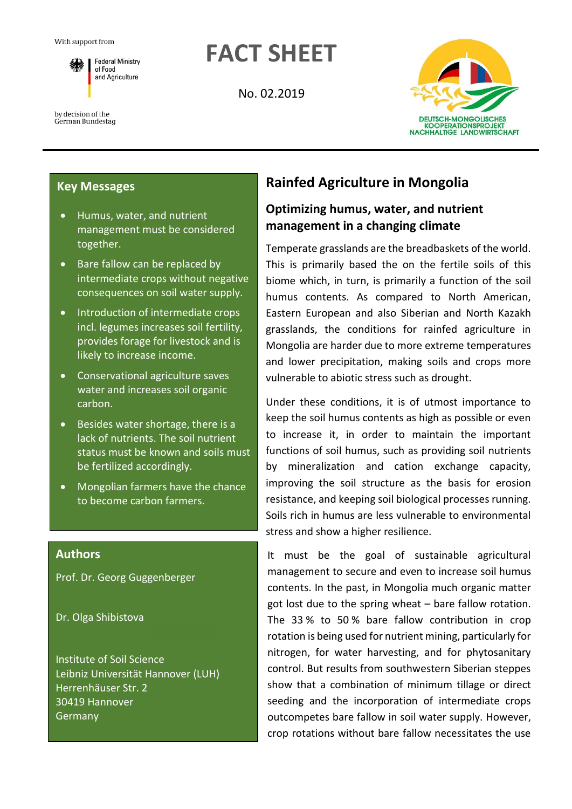

**FACT SHEET**

No. 02.2019



#### by decision of the German Bundestag

### **Key Messages**

- Humus, water, and nutrient management must be considered together.
- Bare fallow can be replaced by intermediate crops without negative consequences on soil water supply.
- Introduction of intermediate crops incl. legumes increases soil fertility, provides forage for livestock and is likely to increase income.
- Conservational agriculture saves water and increases soil organic carbon.
- Besides water shortage, there is a lack of nutrients. The soil nutrient status must be known and soils must be fertilized accordingly.
- Mongolian farmers have the chance to become carbon farmers.

### **Authors**

Prof. Dr. Georg Guggenberger

Dr. Olga Shibistova

Institute of Soil Science Leibniz Universität Hannover (LUH) Herrenhäuser Str. 2 30419 Hannover Germany

# **Rainfed Agriculture in Mongolia**

## **Optimizing humus, water, and nutrient management in a changing climate**

Temperate grasslands are the breadbaskets of the world. This is primarily based the on the fertile soils of this biome which, in turn, is primarily a function of the soil humus contents. As compared to North American, Eastern European and also Siberian and North Kazakh grasslands, the conditions for rainfed agriculture in Mongolia are harder due to more extreme temperatures and lower precipitation, making soils and crops more vulnerable to abiotic stress such as drought.

Under these conditions, it is of utmost importance to keep the soil humus contents as high as possible or even to increase it, in order to maintain the important functions of soil humus, such as providing soil nutrients by mineralization and cation exchange capacity, improving the soil structure as the basis for erosion resistance, and keeping soil biological processes running. Soils rich in humus are less vulnerable to environmental stress and show a higher resilience.

It must be the goal of sustainable agricultural management to secure and even to increase soil humus contents. In the past, in Mongolia much organic matter got lost due to the spring wheat – bare fallow rotation. The 33 % to 50 % bare fallow contribution in crop rotation is being used for nutrient mining, particularly for nitrogen, for water harvesting, and for phytosanitary control. But results from southwestern Siberian steppes show that a combination of minimum tillage or direct seeding and the incorporation of intermediate crops outcompetes bare fallow in soil water supply. However, crop rotations without bare fallow necessitates the use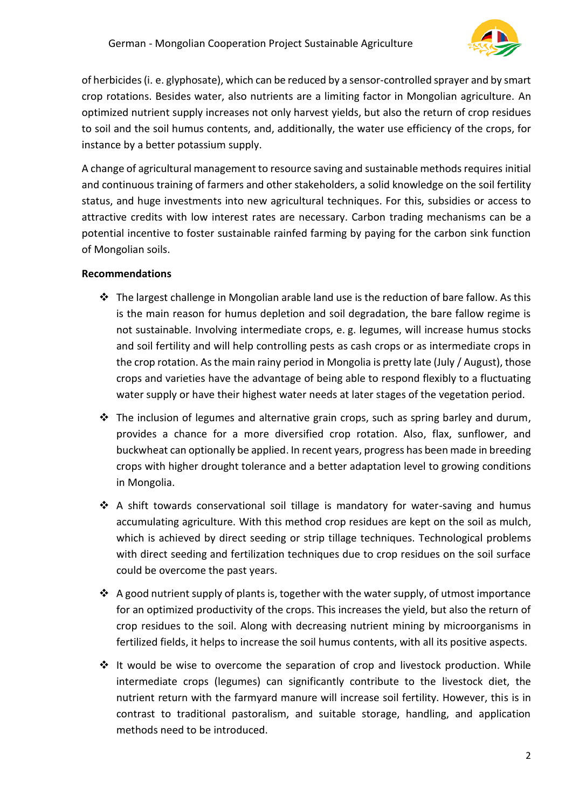

of herbicides (i. e. glyphosate), which can be reduced by a sensor-controlled sprayer and by smart crop rotations. Besides water, also nutrients are a limiting factor in Mongolian agriculture. An optimized nutrient supply increases not only harvest yields, but also the return of crop residues to soil and the soil humus contents, and, additionally, the water use efficiency of the crops, for instance by a better potassium supply.

A change of agricultural management to resource saving and sustainable methods requires initial and continuous training of farmers and other stakeholders, a solid knowledge on the soil fertility status, and huge investments into new agricultural techniques. For this, subsidies or access to attractive credits with low interest rates are necessary. Carbon trading mechanisms can be a potential incentive to foster sustainable rainfed farming by paying for the carbon sink function of Mongolian soils.

### **Recommendations**

- ❖ The largest challenge in Mongolian arable land use is the reduction of bare fallow. As this is the main reason for humus depletion and soil degradation, the bare fallow regime is not sustainable. Involving intermediate crops, e. g. legumes, will increase humus stocks and soil fertility and will help controlling pests as cash crops or as intermediate crops in the crop rotation. As the main rainy period in Mongolia is pretty late (July / August), those crops and varieties have the advantage of being able to respond flexibly to a fluctuating water supply or have their highest water needs at later stages of the vegetation period.
- ❖ The inclusion of legumes and alternative grain crops, such as spring barley and durum, provides a chance for a more diversified crop rotation. Also, flax, sunflower, and buckwheat can optionally be applied. In recent years, progress has been made in breeding crops with higher drought tolerance and a better adaptation level to growing conditions in Mongolia.
- ❖ A shift towards conservational soil tillage is mandatory for water-saving and humus accumulating agriculture. With this method crop residues are kept on the soil as mulch, which is achieved by direct seeding or strip tillage techniques. Technological problems with direct seeding and fertilization techniques due to crop residues on the soil surface could be overcome the past years.
- ❖ A good nutrient supply of plants is, together with the water supply, of utmost importance for an optimized productivity of the crops. This increases the yield, but also the return of crop residues to the soil. Along with decreasing nutrient mining by microorganisms in fertilized fields, it helps to increase the soil humus contents, with all its positive aspects.
- $\div$  It would be wise to overcome the separation of crop and livestock production. While intermediate crops (legumes) can significantly contribute to the livestock diet, the nutrient return with the farmyard manure will increase soil fertility. However, this is in contrast to traditional pastoralism, and suitable storage, handling, and application methods need to be introduced.